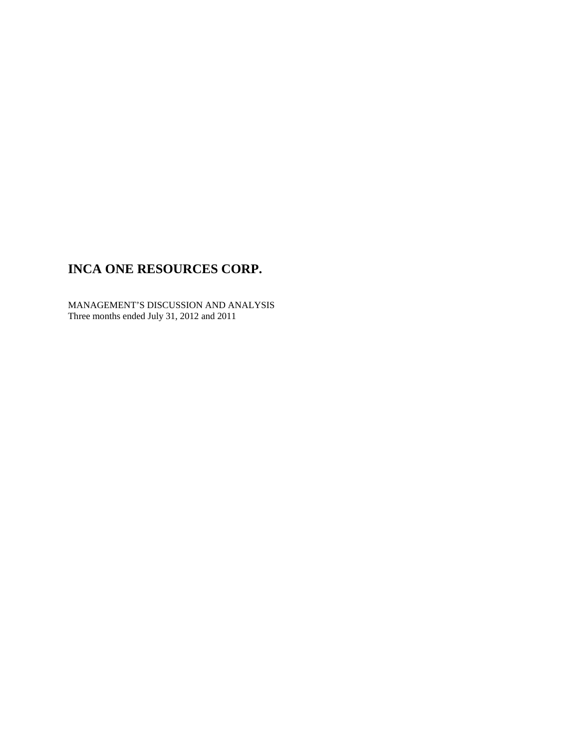MANAGEMENT'S DISCUSSION AND ANALYSIS Three months ended July 31, 2012 and 2011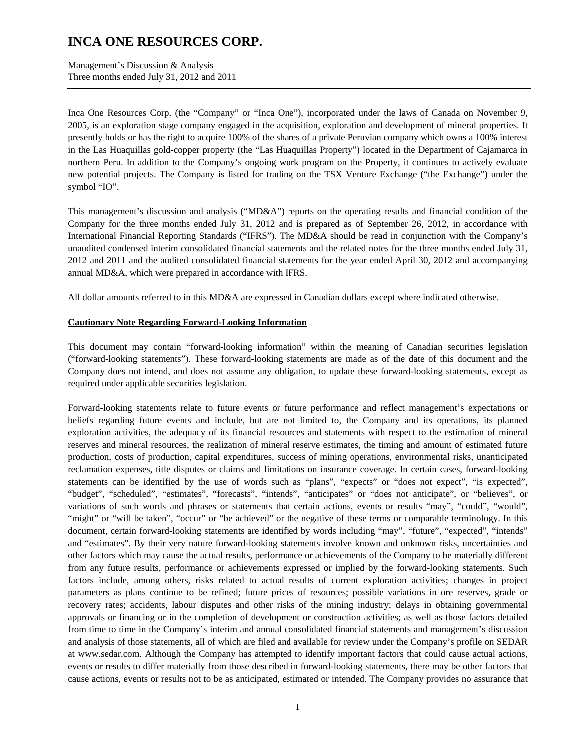Management's Discussion & Analysis Three months ended July 31, 2012 and 2011

Inca One Resources Corp. (the "Company" or "Inca One"), incorporated under the laws of Canada on November 9, 2005, is an exploration stage company engaged in the acquisition, exploration and development of mineral properties. It presently holds or has the right to acquire 100% of the shares of a private Peruvian company which owns a 100% interest in the Las Huaquillas gold-copper property (the "Las Huaquillas Property") located in the Department of Cajamarca in northern Peru. In addition to the Company's ongoing work program on the Property, it continues to actively evaluate new potential projects. The Company is listed for trading on the TSX Venture Exchange ("the Exchange") under the symbol "IO".

This management's discussion and analysis ("MD&A") reports on the operating results and financial condition of the Company for the three months ended July 31, 2012 and is prepared as of September 26, 2012, in accordance with International Financial Reporting Standards ("IFRS"). The MD&A should be read in conjunction with the Company's unaudited condensed interim consolidated financial statements and the related notes for the three months ended July 31, 2012 and 2011 and the audited consolidated financial statements for the year ended April 30, 2012 and accompanying annual MD&A, which were prepared in accordance with IFRS.

All dollar amounts referred to in this MD&A are expressed in Canadian dollars except where indicated otherwise.

#### **Cautionary Note Regarding Forward-Looking Information**

This document may contain "forward-looking information" within the meaning of Canadian securities legislation ("forward-looking statements"). These forward-looking statements are made as of the date of this document and the Company does not intend, and does not assume any obligation, to update these forward-looking statements, except as required under applicable securities legislation.

Forward-looking statements relate to future events or future performance and reflect management's expectations or beliefs regarding future events and include, but are not limited to, the Company and its operations, its planned exploration activities, the adequacy of its financial resources and statements with respect to the estimation of mineral reserves and mineral resources, the realization of mineral reserve estimates, the timing and amount of estimated future production, costs of production, capital expenditures, success of mining operations, environmental risks, unanticipated reclamation expenses, title disputes or claims and limitations on insurance coverage. In certain cases, forward-looking statements can be identified by the use of words such as "plans", "expects" or "does not expect", "is expected", "budget", "scheduled", "estimates", "forecasts", "intends", "anticipates" or "does not anticipate", or "believes", or variations of such words and phrases or statements that certain actions, events or results "may", "could", "would", "might" or "will be taken", "occur" or "be achieved" or the negative of these terms or comparable terminology. In this document, certain forward-looking statements are identified by words including "may", "future", "expected", "intends" and "estimates". By their very nature forward-looking statements involve known and unknown risks, uncertainties and other factors which may cause the actual results, performance or achievements of the Company to be materially different from any future results, performance or achievements expressed or implied by the forward-looking statements. Such factors include, among others, risks related to actual results of current exploration activities; changes in project parameters as plans continue to be refined; future prices of resources; possible variations in ore reserves, grade or recovery rates; accidents, labour disputes and other risks of the mining industry; delays in obtaining governmental approvals or financing or in the completion of development or construction activities; as well as those factors detailed from time to time in the Company's interim and annual consolidated financial statements and management's discussion and analysis of those statements, all of which are filed and available for review under the Company's profile on SEDAR at www.sedar.com. Although the Company has attempted to identify important factors that could cause actual actions, events or results to differ materially from those described in forward-looking statements, there may be other factors that cause actions, events or results not to be as anticipated, estimated or intended. The Company provides no assurance that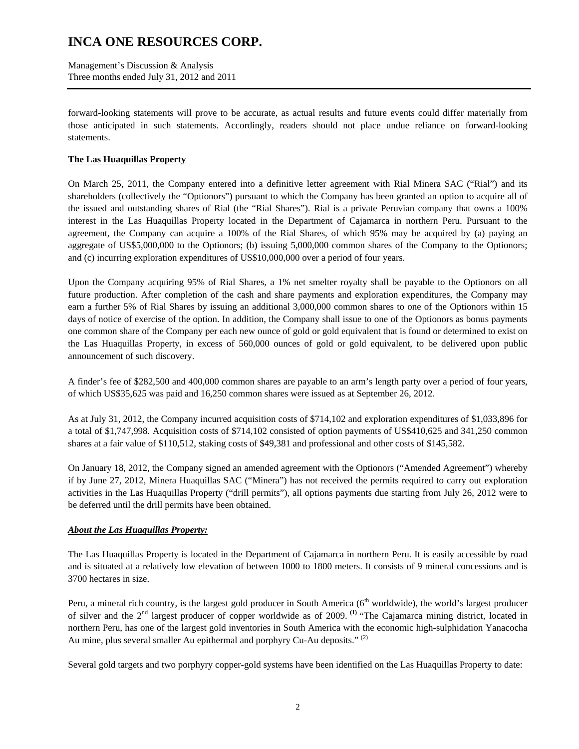Management's Discussion & Analysis Three months ended July 31, 2012 and 2011

forward-looking statements will prove to be accurate, as actual results and future events could differ materially from those anticipated in such statements. Accordingly, readers should not place undue reliance on forward-looking statements.

### **The Las Huaquillas Property**

On March 25, 2011, the Company entered into a definitive letter agreement with Rial Minera SAC ("Rial") and its shareholders (collectively the "Optionors") pursuant to which the Company has been granted an option to acquire all of the issued and outstanding shares of Rial (the "Rial Shares"). Rial is a private Peruvian company that owns a 100% interest in the Las Huaquillas Property located in the Department of Cajamarca in northern Peru. Pursuant to the agreement, the Company can acquire a 100% of the Rial Shares, of which 95% may be acquired by (a) paying an aggregate of US\$5,000,000 to the Optionors; (b) issuing 5,000,000 common shares of the Company to the Optionors; and (c) incurring exploration expenditures of US\$10,000,000 over a period of four years.

Upon the Company acquiring 95% of Rial Shares, a 1% net smelter royalty shall be payable to the Optionors on all future production. After completion of the cash and share payments and exploration expenditures, the Company may earn a further 5% of Rial Shares by issuing an additional 3,000,000 common shares to one of the Optionors within 15 days of notice of exercise of the option. In addition, the Company shall issue to one of the Optionors as bonus payments one common share of the Company per each new ounce of gold or gold equivalent that is found or determined to exist on the Las Huaquillas Property, in excess of 560,000 ounces of gold or gold equivalent, to be delivered upon public announcement of such discovery.

A finder's fee of \$282,500 and 400,000 common shares are payable to an arm's length party over a period of four years, of which US\$35,625 was paid and 16,250 common shares were issued as at September 26, 2012.

As at July 31, 2012, the Company incurred acquisition costs of \$714,102 and exploration expenditures of \$1,033,896 for a total of \$1,747,998. Acquisition costs of \$714,102 consisted of option payments of US\$410,625 and 341,250 common shares at a fair value of \$110,512, staking costs of \$49,381 and professional and other costs of \$145,582.

On January 18, 2012, the Company signed an amended agreement with the Optionors ("Amended Agreement") whereby if by June 27, 2012, Minera Huaquillas SAC ("Minera") has not received the permits required to carry out exploration activities in the Las Huaquillas Property ("drill permits"), all options payments due starting from July 26, 2012 were to be deferred until the drill permits have been obtained.

#### *About the Las Huaquillas Property:*

The Las Huaquillas Property is located in the Department of Cajamarca in northern Peru. It is easily accessible by road and is situated at a relatively low elevation of between 1000 to 1800 meters. It consists of 9 mineral concessions and is 3700 hectares in size.

Peru, a mineral rich country, is the largest gold producer in South America ( $6<sup>th</sup>$  worldwide), the world's largest producer of silver and the 2nd largest producer of copper worldwide as of 2009. **(1)** "The Cajamarca mining district, located in northern Peru, has one of the largest gold inventories in South America with the economic high-sulphidation Yanacocha Au mine, plus several smaller Au epithermal and porphyry Cu-Au deposits."<sup>(2)</sup>

Several gold targets and two porphyry copper-gold systems have been identified on the Las Huaquillas Property to date: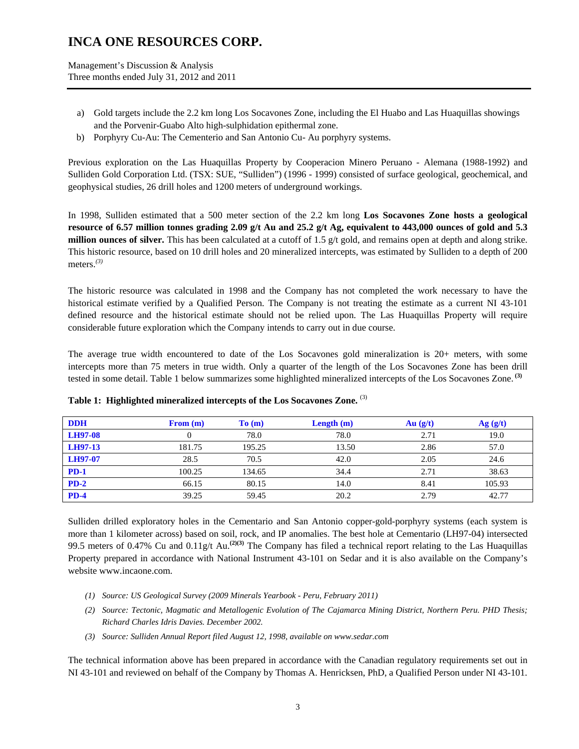Management's Discussion & Analysis Three months ended July 31, 2012 and 2011

- a) Gold targets include the 2.2 km long Los Socavones Zone, including the El Huabo and Las Huaquillas showings and the Porvenir-Guabo Alto high-sulphidation epithermal zone.
- b) Porphyry Cu-Au: The Cementerio and San Antonio Cu- Au porphyry systems.

Previous exploration on the Las Huaquillas Property by Cooperacion Minero Peruano - Alemana (1988-1992) and Sulliden Gold Corporation Ltd. (TSX: SUE, "Sulliden") (1996 - 1999) consisted of surface geological, geochemical, and geophysical studies, 26 drill holes and 1200 meters of underground workings.

In 1998, Sulliden estimated that a 500 meter section of the 2.2 km long **Los Socavones Zone hosts a geological resource of 6.57 million tonnes grading 2.09 g/t Au and 25.2 g/t Ag, equivalent to 443,000 ounces of gold and 5.3 million ounces of silver.** This has been calculated at a cutoff of 1.5 g/t gold, and remains open at depth and along strike. This historic resource, based on 10 drill holes and 20 mineralized intercepts, was estimated by Sulliden to a depth of 200 meters.*(3)* 

The historic resource was calculated in 1998 and the Company has not completed the work necessary to have the historical estimate verified by a Qualified Person. The Company is not treating the estimate as a current NI 43-101 defined resource and the historical estimate should not be relied upon. The Las Huaquillas Property will require considerable future exploration which the Company intends to carry out in due course.

The average true width encountered to date of the Los Socavones gold mineralization is 20+ meters, with some intercepts more than 75 meters in true width. Only a quarter of the length of the Los Socavones Zone has been drill tested in some detail. Table 1 below summarizes some highlighted mineralized intercepts of the Los Socavones Zone. **(3)**

| <b>DDH</b>     | From (m) | To(m)  | Length $(m)$ | Au(g/t) | Ag(g/t) |
|----------------|----------|--------|--------------|---------|---------|
| <b>LH97-08</b> |          | 78.0   | 78.0         | 2.71    | 19.0    |
| <b>LH97-13</b> | 181.75   | 195.25 | 13.50        | 2.86    | 57.0    |
| LH97-07        | 28.5     | 70.5   | 42.0         | 2.05    | 24.6    |
| $PD-1$         | 100.25   | 134.65 | 34.4         | 2.71    | 38.63   |
| $PD-2$         | 66.15    | 80.15  | 14.0         | 8.41    | 105.93  |
| $PD-4$         | 39.25    | 59.45  | 20.2         | 2.79    | 42.77   |

**Table 1: Highlighted mineralized intercepts of the Los Socavones Zone.** (3)

Sulliden drilled exploratory holes in the Cementario and San Antonio copper-gold-porphyry systems (each system is more than 1 kilometer across) based on soil, rock, and IP anomalies. The best hole at Cementario (LH97-04) intersected 99.5 meters of 0.47% Cu and 0.11g/t Au.**(2)(3)** The Company has filed a technical report relating to the Las Huaquillas Property prepared in accordance with National Instrument 43-101 on Sedar and it is also available on the Company's website www.incaone.com.

- *(1) Source: US Geological Survey (2009 Minerals Yearbook Peru, February 2011)*
- *(2) Source: Tectonic, Magmatic and Metallogenic Evolution of The Cajamarca Mining District, Northern Peru. PHD Thesis; Richard Charles Idris Davies. December 2002.*
- *(3) Source: Sulliden Annual Report filed August 12, 1998, available on www.sedar.com*

The technical information above has been prepared in accordance with the Canadian regulatory requirements set out in NI 43-101 and reviewed on behalf of the Company by Thomas A. Henricksen, PhD, a Qualified Person under NI 43-101.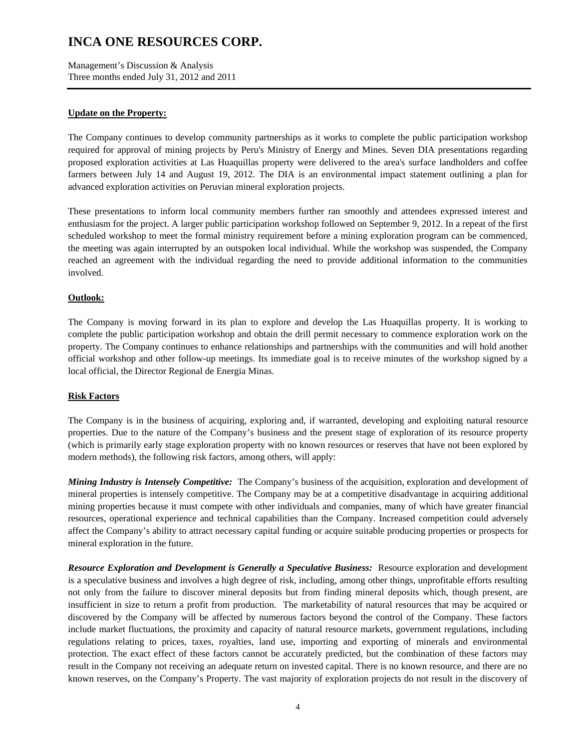Management's Discussion & Analysis Three months ended July 31, 2012 and 2011

### **Update on the Property:**

The Company continues to develop community partnerships as it works to complete the public participation workshop required for approval of mining projects by Peru's Ministry of Energy and Mines. Seven DIA presentations regarding proposed exploration activities at Las Huaquillas property were delivered to the area's surface landholders and coffee farmers between July 14 and August 19, 2012. The DIA is an environmental impact statement outlining a plan for advanced exploration activities on Peruvian mineral exploration projects.

These presentations to inform local community members further ran smoothly and attendees expressed interest and enthusiasm for the project. A larger public participation workshop followed on September 9, 2012. In a repeat of the first scheduled workshop to meet the formal ministry requirement before a mining exploration program can be commenced, the meeting was again interrupted by an outspoken local individual. While the workshop was suspended, the Company reached an agreement with the individual regarding the need to provide additional information to the communities involved.

### **Outlook:**

The Company is moving forward in its plan to explore and develop the Las Huaquillas property. It is working to complete the public participation workshop and obtain the drill permit necessary to commence exploration work on the property. The Company continues to enhance relationships and partnerships with the communities and will hold another official workshop and other follow-up meetings. Its immediate goal is to receive minutes of the workshop signed by a local official, the Director Regional de Energia Minas.

#### **Risk Factors**

The Company is in the business of acquiring, exploring and, if warranted, developing and exploiting natural resource properties. Due to the nature of the Company's business and the present stage of exploration of its resource property (which is primarily early stage exploration property with no known resources or reserves that have not been explored by modern methods), the following risk factors, among others, will apply:

*Mining Industry is Intensely Competitive:* The Company's business of the acquisition, exploration and development of mineral properties is intensely competitive. The Company may be at a competitive disadvantage in acquiring additional mining properties because it must compete with other individuals and companies, many of which have greater financial resources, operational experience and technical capabilities than the Company. Increased competition could adversely affect the Company's ability to attract necessary capital funding or acquire suitable producing properties or prospects for mineral exploration in the future.

*Resource Exploration and Development is Generally a Speculative Business:* Resource exploration and development is a speculative business and involves a high degree of risk, including, among other things, unprofitable efforts resulting not only from the failure to discover mineral deposits but from finding mineral deposits which, though present, are insufficient in size to return a profit from production. The marketability of natural resources that may be acquired or discovered by the Company will be affected by numerous factors beyond the control of the Company. These factors include market fluctuations, the proximity and capacity of natural resource markets, government regulations, including regulations relating to prices, taxes, royalties, land use, importing and exporting of minerals and environmental protection. The exact effect of these factors cannot be accurately predicted, but the combination of these factors may result in the Company not receiving an adequate return on invested capital. There is no known resource, and there are no known reserves, on the Company's Property. The vast majority of exploration projects do not result in the discovery of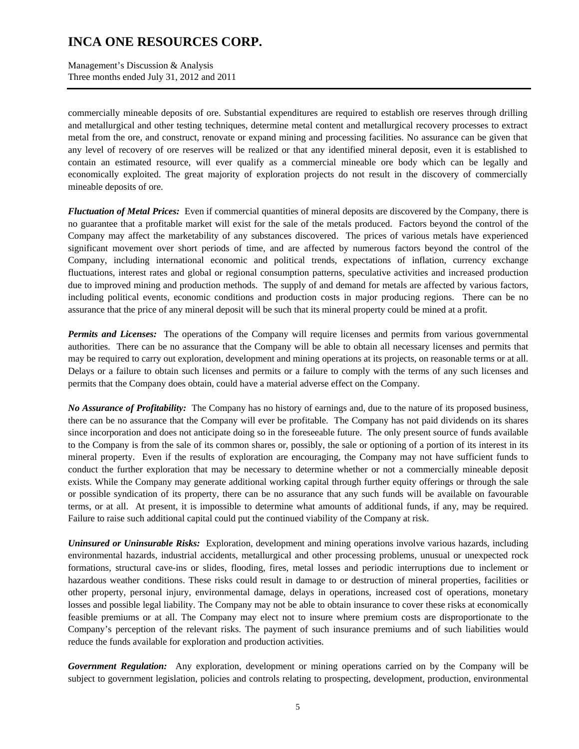Management's Discussion & Analysis Three months ended July 31, 2012 and 2011

commercially mineable deposits of ore. Substantial expenditures are required to establish ore reserves through drilling and metallurgical and other testing techniques, determine metal content and metallurgical recovery processes to extract metal from the ore, and construct, renovate or expand mining and processing facilities. No assurance can be given that any level of recovery of ore reserves will be realized or that any identified mineral deposit, even it is established to contain an estimated resource, will ever qualify as a commercial mineable ore body which can be legally and economically exploited. The great majority of exploration projects do not result in the discovery of commercially mineable deposits of ore.

*Fluctuation of Metal Prices:* Even if commercial quantities of mineral deposits are discovered by the Company, there is no guarantee that a profitable market will exist for the sale of the metals produced. Factors beyond the control of the Company may affect the marketability of any substances discovered. The prices of various metals have experienced significant movement over short periods of time, and are affected by numerous factors beyond the control of the Company, including international economic and political trends, expectations of inflation, currency exchange fluctuations, interest rates and global or regional consumption patterns, speculative activities and increased production due to improved mining and production methods. The supply of and demand for metals are affected by various factors, including political events, economic conditions and production costs in major producing regions. There can be no assurance that the price of any mineral deposit will be such that its mineral property could be mined at a profit.

*Permits and Licenses:* The operations of the Company will require licenses and permits from various governmental authorities. There can be no assurance that the Company will be able to obtain all necessary licenses and permits that may be required to carry out exploration, development and mining operations at its projects, on reasonable terms or at all. Delays or a failure to obtain such licenses and permits or a failure to comply with the terms of any such licenses and permits that the Company does obtain, could have a material adverse effect on the Company.

*No Assurance of Profitability:* The Company has no history of earnings and, due to the nature of its proposed business, there can be no assurance that the Company will ever be profitable. The Company has not paid dividends on its shares since incorporation and does not anticipate doing so in the foreseeable future. The only present source of funds available to the Company is from the sale of its common shares or, possibly, the sale or optioning of a portion of its interest in its mineral property. Even if the results of exploration are encouraging, the Company may not have sufficient funds to conduct the further exploration that may be necessary to determine whether or not a commercially mineable deposit exists. While the Company may generate additional working capital through further equity offerings or through the sale or possible syndication of its property, there can be no assurance that any such funds will be available on favourable terms, or at all. At present, it is impossible to determine what amounts of additional funds, if any, may be required. Failure to raise such additional capital could put the continued viability of the Company at risk.

*Uninsured or Uninsurable Risks:* Exploration, development and mining operations involve various hazards, including environmental hazards, industrial accidents, metallurgical and other processing problems, unusual or unexpected rock formations, structural cave-ins or slides, flooding, fires, metal losses and periodic interruptions due to inclement or hazardous weather conditions. These risks could result in damage to or destruction of mineral properties, facilities or other property, personal injury, environmental damage, delays in operations, increased cost of operations, monetary losses and possible legal liability. The Company may not be able to obtain insurance to cover these risks at economically feasible premiums or at all. The Company may elect not to insure where premium costs are disproportionate to the Company's perception of the relevant risks. The payment of such insurance premiums and of such liabilities would reduce the funds available for exploration and production activities.

*Government Regulation:* Any exploration, development or mining operations carried on by the Company will be subject to government legislation, policies and controls relating to prospecting, development, production, environmental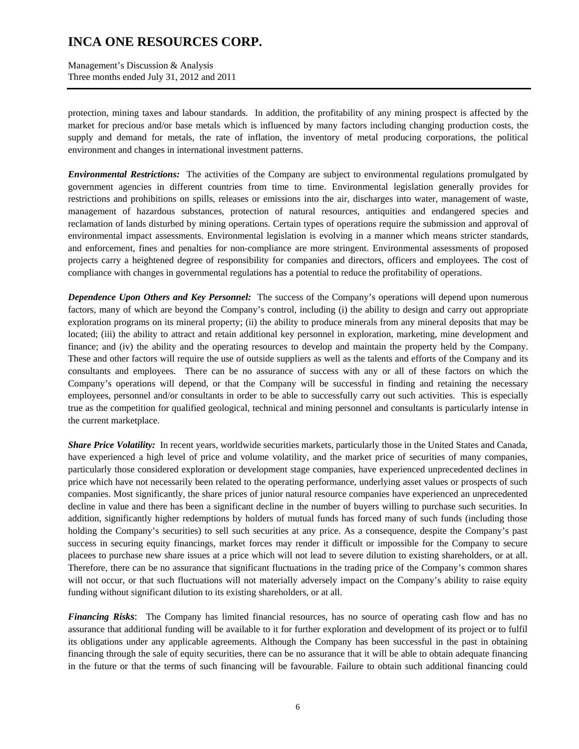Management's Discussion & Analysis Three months ended July 31, 2012 and 2011

protection, mining taxes and labour standards. In addition, the profitability of any mining prospect is affected by the market for precious and/or base metals which is influenced by many factors including changing production costs, the supply and demand for metals, the rate of inflation, the inventory of metal producing corporations, the political environment and changes in international investment patterns.

*Environmental Restrictions:* The activities of the Company are subject to environmental regulations promulgated by government agencies in different countries from time to time. Environmental legislation generally provides for restrictions and prohibitions on spills, releases or emissions into the air, discharges into water, management of waste, management of hazardous substances, protection of natural resources, antiquities and endangered species and reclamation of lands disturbed by mining operations. Certain types of operations require the submission and approval of environmental impact assessments. Environmental legislation is evolving in a manner which means stricter standards, and enforcement, fines and penalties for non-compliance are more stringent. Environmental assessments of proposed projects carry a heightened degree of responsibility for companies and directors, officers and employees. The cost of compliance with changes in governmental regulations has a potential to reduce the profitability of operations.

*Dependence Upon Others and Key Personnel:* The success of the Company's operations will depend upon numerous factors, many of which are beyond the Company's control, including (i) the ability to design and carry out appropriate exploration programs on its mineral property; (ii) the ability to produce minerals from any mineral deposits that may be located; (iii) the ability to attract and retain additional key personnel in exploration, marketing, mine development and finance; and (iv) the ability and the operating resources to develop and maintain the property held by the Company. These and other factors will require the use of outside suppliers as well as the talents and efforts of the Company and its consultants and employees. There can be no assurance of success with any or all of these factors on which the Company's operations will depend, or that the Company will be successful in finding and retaining the necessary employees, personnel and/or consultants in order to be able to successfully carry out such activities. This is especially true as the competition for qualified geological, technical and mining personnel and consultants is particularly intense in the current marketplace.

*Share Price Volatility:* In recent years, worldwide securities markets, particularly those in the United States and Canada, have experienced a high level of price and volume volatility, and the market price of securities of many companies, particularly those considered exploration or development stage companies, have experienced unprecedented declines in price which have not necessarily been related to the operating performance, underlying asset values or prospects of such companies. Most significantly, the share prices of junior natural resource companies have experienced an unprecedented decline in value and there has been a significant decline in the number of buyers willing to purchase such securities. In addition, significantly higher redemptions by holders of mutual funds has forced many of such funds (including those holding the Company's securities) to sell such securities at any price. As a consequence, despite the Company's past success in securing equity financings, market forces may render it difficult or impossible for the Company to secure placees to purchase new share issues at a price which will not lead to severe dilution to existing shareholders, or at all. Therefore, there can be no assurance that significant fluctuations in the trading price of the Company's common shares will not occur, or that such fluctuations will not materially adversely impact on the Company's ability to raise equity funding without significant dilution to its existing shareholders, or at all.

*Financing Risks*: The Company has limited financial resources, has no source of operating cash flow and has no assurance that additional funding will be available to it for further exploration and development of its project or to fulfil its obligations under any applicable agreements. Although the Company has been successful in the past in obtaining financing through the sale of equity securities, there can be no assurance that it will be able to obtain adequate financing in the future or that the terms of such financing will be favourable. Failure to obtain such additional financing could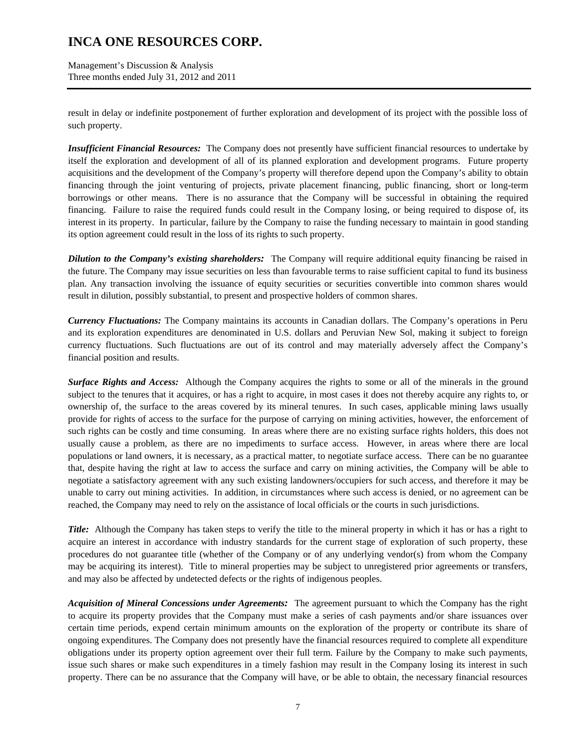Management's Discussion & Analysis Three months ended July 31, 2012 and 2011

result in delay or indefinite postponement of further exploration and development of its project with the possible loss of such property.

*Insufficient Financial Resources:* The Company does not presently have sufficient financial resources to undertake by itself the exploration and development of all of its planned exploration and development programs. Future property acquisitions and the development of the Company's property will therefore depend upon the Company's ability to obtain financing through the joint venturing of projects, private placement financing, public financing, short or long-term borrowings or other means. There is no assurance that the Company will be successful in obtaining the required financing. Failure to raise the required funds could result in the Company losing, or being required to dispose of, its interest in its property. In particular, failure by the Company to raise the funding necessary to maintain in good standing its option agreement could result in the loss of its rights to such property.

*Dilution to the Company's existing shareholders:* The Company will require additional equity financing be raised in the future. The Company may issue securities on less than favourable terms to raise sufficient capital to fund its business plan. Any transaction involving the issuance of equity securities or securities convertible into common shares would result in dilution, possibly substantial, to present and prospective holders of common shares.

*Currency Fluctuations:* The Company maintains its accounts in Canadian dollars. The Company's operations in Peru and its exploration expenditures are denominated in U.S. dollars and Peruvian New Sol, making it subject to foreign currency fluctuations. Such fluctuations are out of its control and may materially adversely affect the Company's financial position and results.

*Surface Rights and Access:* Although the Company acquires the rights to some or all of the minerals in the ground subject to the tenures that it acquires, or has a right to acquire, in most cases it does not thereby acquire any rights to, or ownership of, the surface to the areas covered by its mineral tenures. In such cases, applicable mining laws usually provide for rights of access to the surface for the purpose of carrying on mining activities, however, the enforcement of such rights can be costly and time consuming. In areas where there are no existing surface rights holders, this does not usually cause a problem, as there are no impediments to surface access. However, in areas where there are local populations or land owners, it is necessary, as a practical matter, to negotiate surface access. There can be no guarantee that, despite having the right at law to access the surface and carry on mining activities, the Company will be able to negotiate a satisfactory agreement with any such existing landowners/occupiers for such access, and therefore it may be unable to carry out mining activities. In addition, in circumstances where such access is denied, or no agreement can be reached, the Company may need to rely on the assistance of local officials or the courts in such jurisdictions.

*Title:* Although the Company has taken steps to verify the title to the mineral property in which it has or has a right to acquire an interest in accordance with industry standards for the current stage of exploration of such property, these procedures do not guarantee title (whether of the Company or of any underlying vendor(s) from whom the Company may be acquiring its interest). Title to mineral properties may be subject to unregistered prior agreements or transfers, and may also be affected by undetected defects or the rights of indigenous peoples.

*Acquisition of Mineral Concessions under Agreements:* The agreement pursuant to which the Company has the right to acquire its property provides that the Company must make a series of cash payments and/or share issuances over certain time periods, expend certain minimum amounts on the exploration of the property or contribute its share of ongoing expenditures. The Company does not presently have the financial resources required to complete all expenditure obligations under its property option agreement over their full term. Failure by the Company to make such payments, issue such shares or make such expenditures in a timely fashion may result in the Company losing its interest in such property. There can be no assurance that the Company will have, or be able to obtain, the necessary financial resources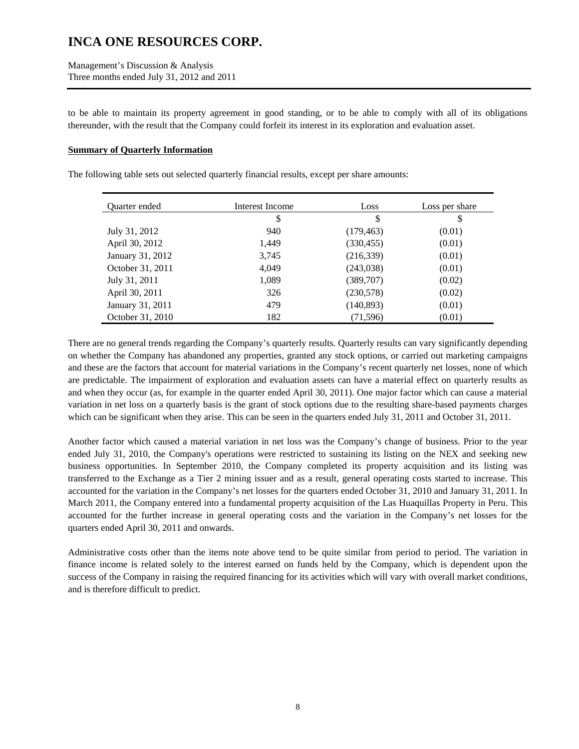Management's Discussion & Analysis Three months ended July 31, 2012 and 2011

to be able to maintain its property agreement in good standing, or to be able to comply with all of its obligations thereunder, with the result that the Company could forfeit its interest in its exploration and evaluation asset.

#### **Summary of Quarterly Information**

The following table sets out selected quarterly financial results, except per share amounts:

| Quarter ended    | Interest Income | Loss       | Loss per share |
|------------------|-----------------|------------|----------------|
|                  | \$              | \$         | \$             |
| July 31, 2012    | 940             | (179, 463) | (0.01)         |
| April 30, 2012   | 1,449           | (330, 455) | (0.01)         |
| January 31, 2012 | 3,745           | (216,339)  | (0.01)         |
| October 31, 2011 | 4,049           | (243,038)  | (0.01)         |
| July 31, 2011    | 1,089           | (389, 707) | (0.02)         |
| April 30, 2011   | 326             | (230,578)  | (0.02)         |
| January 31, 2011 | 479             | (140, 893) | (0.01)         |
| October 31, 2010 | 182             | (71, 596)  | (0.01)         |

There are no general trends regarding the Company's quarterly results. Quarterly results can vary significantly depending on whether the Company has abandoned any properties, granted any stock options, or carried out marketing campaigns and these are the factors that account for material variations in the Company's recent quarterly net losses, none of which are predictable. The impairment of exploration and evaluation assets can have a material effect on quarterly results as and when they occur (as, for example in the quarter ended April 30, 2011). One major factor which can cause a material variation in net loss on a quarterly basis is the grant of stock options due to the resulting share-based payments charges which can be significant when they arise. This can be seen in the quarters ended July 31, 2011 and October 31, 2011.

Another factor which caused a material variation in net loss was the Company's change of business. Prior to the year ended July 31, 2010, the Company's operations were restricted to sustaining its listing on the NEX and seeking new business opportunities. In September 2010, the Company completed its property acquisition and its listing was transferred to the Exchange as a Tier 2 mining issuer and as a result, general operating costs started to increase. This accounted for the variation in the Company's net losses for the quarters ended October 31, 2010 and January 31, 2011. In March 2011, the Company entered into a fundamental property acquisition of the Las Huaquillas Property in Peru. This accounted for the further increase in general operating costs and the variation in the Company's net losses for the quarters ended April 30, 2011 and onwards.

Administrative costs other than the items note above tend to be quite similar from period to period. The variation in finance income is related solely to the interest earned on funds held by the Company, which is dependent upon the success of the Company in raising the required financing for its activities which will vary with overall market conditions, and is therefore difficult to predict.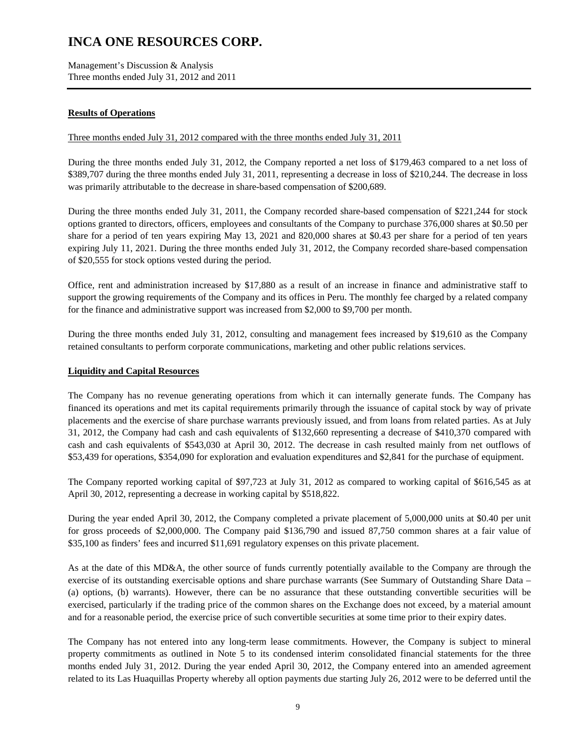Management's Discussion & Analysis Three months ended July 31, 2012 and 2011

### **Results of Operations**

#### Three months ended July 31, 2012 compared with the three months ended July 31, 2011

During the three months ended July 31, 2012, the Company reported a net loss of \$179,463 compared to a net loss of \$389,707 during the three months ended July 31, 2011, representing a decrease in loss of \$210,244. The decrease in loss was primarily attributable to the decrease in share-based compensation of \$200,689.

During the three months ended July 31, 2011, the Company recorded share-based compensation of \$221,244 for stock options granted to directors, officers, employees and consultants of the Company to purchase 376,000 shares at \$0.50 per share for a period of ten years expiring May 13, 2021 and 820,000 shares at \$0.43 per share for a period of ten years expiring July 11, 2021. During the three months ended July 31, 2012, the Company recorded share-based compensation of \$20,555 for stock options vested during the period.

Office, rent and administration increased by \$17,880 as a result of an increase in finance and administrative staff to support the growing requirements of the Company and its offices in Peru. The monthly fee charged by a related company for the finance and administrative support was increased from \$2,000 to \$9,700 per month.

During the three months ended July 31, 2012, consulting and management fees increased by \$19,610 as the Company retained consultants to perform corporate communications, marketing and other public relations services.

#### **Liquidity and Capital Resources**

The Company has no revenue generating operations from which it can internally generate funds. The Company has financed its operations and met its capital requirements primarily through the issuance of capital stock by way of private placements and the exercise of share purchase warrants previously issued, and from loans from related parties. As at July 31, 2012, the Company had cash and cash equivalents of \$132,660 representing a decrease of \$410,370 compared with cash and cash equivalents of \$543,030 at April 30, 2012. The decrease in cash resulted mainly from net outflows of \$53,439 for operations, \$354,090 for exploration and evaluation expenditures and \$2,841 for the purchase of equipment.

The Company reported working capital of \$97,723 at July 31, 2012 as compared to working capital of \$616,545 as at April 30, 2012, representing a decrease in working capital by \$518,822.

During the year ended April 30, 2012, the Company completed a private placement of 5,000,000 units at \$0.40 per unit for gross proceeds of \$2,000,000. The Company paid \$136,790 and issued 87,750 common shares at a fair value of \$35,100 as finders' fees and incurred \$11,691 regulatory expenses on this private placement.

As at the date of this MD&A, the other source of funds currently potentially available to the Company are through the exercise of its outstanding exercisable options and share purchase warrants (See Summary of Outstanding Share Data – (a) options, (b) warrants). However, there can be no assurance that these outstanding convertible securities will be exercised, particularly if the trading price of the common shares on the Exchange does not exceed, by a material amount and for a reasonable period, the exercise price of such convertible securities at some time prior to their expiry dates.

The Company has not entered into any long-term lease commitments. However, the Company is subject to mineral property commitments as outlined in Note 5 to its condensed interim consolidated financial statements for the three months ended July 31, 2012. During the year ended April 30, 2012, the Company entered into an amended agreement related to its Las Huaquillas Property whereby all option payments due starting July 26, 2012 were to be deferred until the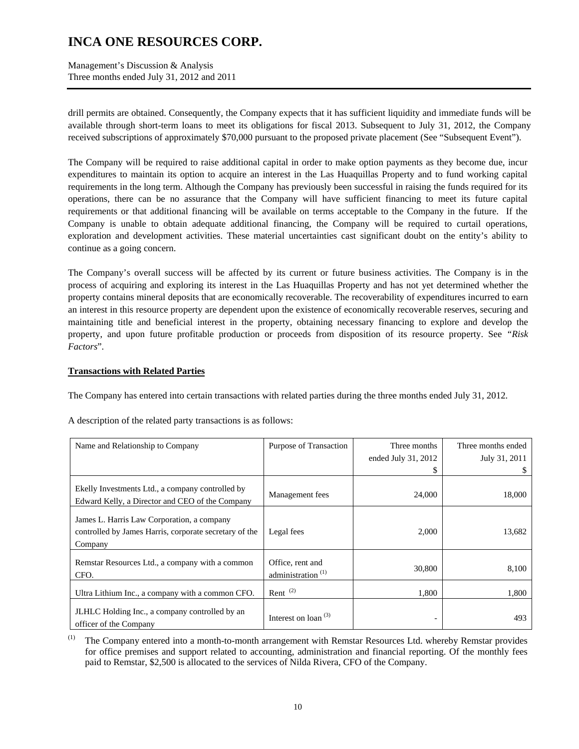Management's Discussion & Analysis Three months ended July 31, 2012 and 2011

drill permits are obtained. Consequently, the Company expects that it has sufficient liquidity and immediate funds will be available through short-term loans to meet its obligations for fiscal 2013. Subsequent to July 31, 2012, the Company received subscriptions of approximately \$70,000 pursuant to the proposed private placement (See "Subsequent Event").

The Company will be required to raise additional capital in order to make option payments as they become due, incur expenditures to maintain its option to acquire an interest in the Las Huaquillas Property and to fund working capital requirements in the long term. Although the Company has previously been successful in raising the funds required for its operations, there can be no assurance that the Company will have sufficient financing to meet its future capital requirements or that additional financing will be available on terms acceptable to the Company in the future. If the Company is unable to obtain adequate additional financing, the Company will be required to curtail operations, exploration and development activities. These material uncertainties cast significant doubt on the entity's ability to continue as a going concern.

The Company's overall success will be affected by its current or future business activities. The Company is in the process of acquiring and exploring its interest in the Las Huaquillas Property and has not yet determined whether the property contains mineral deposits that are economically recoverable. The recoverability of expenditures incurred to earn an interest in this resource property are dependent upon the existence of economically recoverable reserves, securing and maintaining title and beneficial interest in the property, obtaining necessary financing to explore and develop the property, and upon future profitable production or proceeds from disposition of its resource property. See *"Risk Factors*".

### **Transactions with Related Parties**

The Company has entered into certain transactions with related parties during the three months ended July 31, 2012.

| Name and Relationship to Company                                                                                | Purpose of Transaction                            | Three months        | Three months ended |
|-----------------------------------------------------------------------------------------------------------------|---------------------------------------------------|---------------------|--------------------|
|                                                                                                                 |                                                   | ended July 31, 2012 | July 31, 2011      |
|                                                                                                                 |                                                   |                     |                    |
| Ekelly Investments Ltd., a company controlled by<br>Edward Kelly, a Director and CEO of the Company             | Management fees                                   | 24,000              | 18,000             |
| James L. Harris Law Corporation, a company<br>controlled by James Harris, corporate secretary of the<br>Company | Legal fees                                        | 2,000               | 13,682             |
| Remstar Resources Ltd., a company with a common<br>CFO.                                                         | Office, rent and<br>administration <sup>(1)</sup> | 30,800              | 8,100              |
| Ultra Lithium Inc., a company with a common CFO.                                                                | Rent $(2)$                                        | 1,800               | 1,800              |
| JLHLC Holding Inc., a company controlled by an<br>officer of the Company                                        | Interest on $\alpha$ loan $(3)$                   | -                   | 493                |

A description of the related party transactions is as follows:

(1) The Company entered into a month-to-month arrangement with Remstar Resources Ltd. whereby Remstar provides for office premises and support related to accounting, administration and financial reporting. Of the monthly fees paid to Remstar, \$2,500 is allocated to the services of Nilda Rivera, CFO of the Company.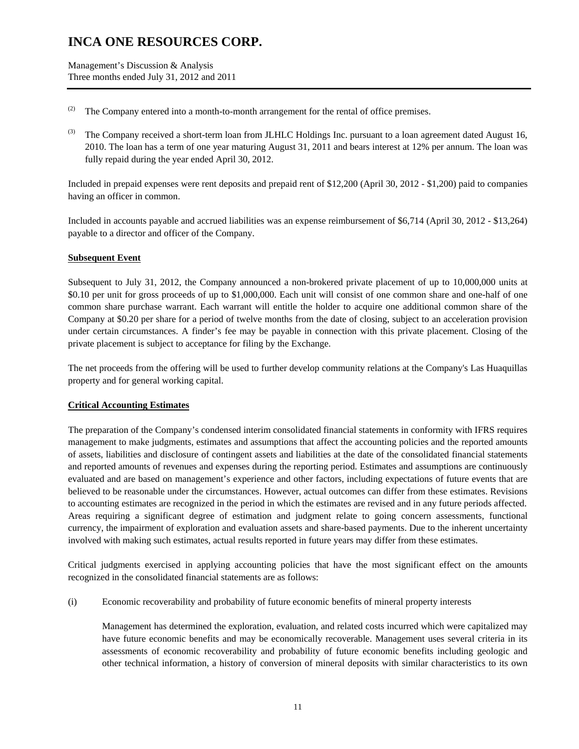Management's Discussion & Analysis Three months ended July 31, 2012 and 2011

- (2) The Company entered into a month-to-month arrangement for the rental of office premises.
- (3) The Company received a short-term loan from JLHLC Holdings Inc. pursuant to a loan agreement dated August 16, 2010. The loan has a term of one year maturing August 31, 2011 and bears interest at 12% per annum. The loan was fully repaid during the year ended April 30, 2012.

Included in prepaid expenses were rent deposits and prepaid rent of \$12,200 (April 30, 2012 - \$1,200) paid to companies having an officer in common.

Included in accounts payable and accrued liabilities was an expense reimbursement of \$6,714 (April 30, 2012 - \$13,264) payable to a director and officer of the Company.

### **Subsequent Event**

Subsequent to July 31, 2012, the Company announced a non-brokered private placement of up to 10,000,000 units at \$0.10 per unit for gross proceeds of up to \$1,000,000. Each unit will consist of one common share and one-half of one common share purchase warrant. Each warrant will entitle the holder to acquire one additional common share of the Company at \$0.20 per share for a period of twelve months from the date of closing, subject to an acceleration provision under certain circumstances. A finder's fee may be payable in connection with this private placement. Closing of the private placement is subject to acceptance for filing by the Exchange.

The net proceeds from the offering will be used to further develop community relations at the Company's Las Huaquillas property and for general working capital.

#### **Critical Accounting Estimates**

The preparation of the Company's condensed interim consolidated financial statements in conformity with IFRS requires management to make judgments, estimates and assumptions that affect the accounting policies and the reported amounts of assets, liabilities and disclosure of contingent assets and liabilities at the date of the consolidated financial statements and reported amounts of revenues and expenses during the reporting period. Estimates and assumptions are continuously evaluated and are based on management's experience and other factors, including expectations of future events that are believed to be reasonable under the circumstances. However, actual outcomes can differ from these estimates. Revisions to accounting estimates are recognized in the period in which the estimates are revised and in any future periods affected. Areas requiring a significant degree of estimation and judgment relate to going concern assessments, functional currency, the impairment of exploration and evaluation assets and share-based payments. Due to the inherent uncertainty involved with making such estimates, actual results reported in future years may differ from these estimates.

Critical judgments exercised in applying accounting policies that have the most significant effect on the amounts recognized in the consolidated financial statements are as follows:

(i) Economic recoverability and probability of future economic benefits of mineral property interests

Management has determined the exploration, evaluation, and related costs incurred which were capitalized may have future economic benefits and may be economically recoverable. Management uses several criteria in its assessments of economic recoverability and probability of future economic benefits including geologic and other technical information, a history of conversion of mineral deposits with similar characteristics to its own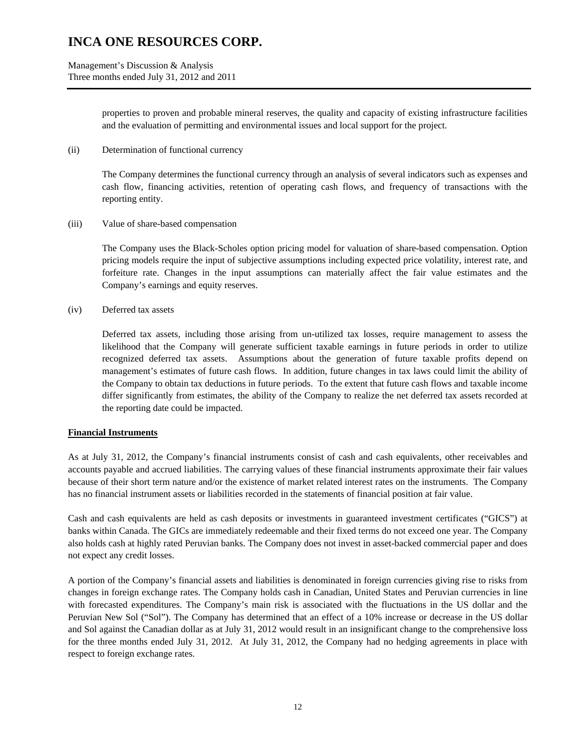Management's Discussion & Analysis Three months ended July 31, 2012 and 2011

> properties to proven and probable mineral reserves, the quality and capacity of existing infrastructure facilities and the evaluation of permitting and environmental issues and local support for the project.

(ii) Determination of functional currency

The Company determines the functional currency through an analysis of several indicators such as expenses and cash flow, financing activities, retention of operating cash flows, and frequency of transactions with the reporting entity.

(iii) Value of share-based compensation

The Company uses the Black-Scholes option pricing model for valuation of share-based compensation. Option pricing models require the input of subjective assumptions including expected price volatility, interest rate, and forfeiture rate. Changes in the input assumptions can materially affect the fair value estimates and the Company's earnings and equity reserves.

(iv) Deferred tax assets

Deferred tax assets, including those arising from un-utilized tax losses, require management to assess the likelihood that the Company will generate sufficient taxable earnings in future periods in order to utilize recognized deferred tax assets. Assumptions about the generation of future taxable profits depend on management's estimates of future cash flows. In addition, future changes in tax laws could limit the ability of the Company to obtain tax deductions in future periods. To the extent that future cash flows and taxable income differ significantly from estimates, the ability of the Company to realize the net deferred tax assets recorded at the reporting date could be impacted.

#### **Financial Instruments**

As at July 31, 2012, the Company's financial instruments consist of cash and cash equivalents, other receivables and accounts payable and accrued liabilities. The carrying values of these financial instruments approximate their fair values because of their short term nature and/or the existence of market related interest rates on the instruments. The Company has no financial instrument assets or liabilities recorded in the statements of financial position at fair value.

Cash and cash equivalents are held as cash deposits or investments in guaranteed investment certificates ("GICS") at banks within Canada. The GICs are immediately redeemable and their fixed terms do not exceed one year. The Company also holds cash at highly rated Peruvian banks. The Company does not invest in asset-backed commercial paper and does not expect any credit losses.

A portion of the Company's financial assets and liabilities is denominated in foreign currencies giving rise to risks from changes in foreign exchange rates. The Company holds cash in Canadian, United States and Peruvian currencies in line with forecasted expenditures. The Company's main risk is associated with the fluctuations in the US dollar and the Peruvian New Sol ("Sol"). The Company has determined that an effect of a 10% increase or decrease in the US dollar and Sol against the Canadian dollar as at July 31, 2012 would result in an insignificant change to the comprehensive loss for the three months ended July 31, 2012. At July 31, 2012, the Company had no hedging agreements in place with respect to foreign exchange rates.